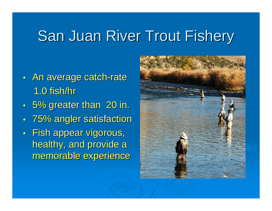# San Juan River Trout Fishery

- $\bullet$  . • An average catch-rate 1.0 fish/hr
- $\bullet$  .  $\cdot$  5% greater than 20 in.
- $\bullet$  . 75% angler satisfaction
- $\bullet$  . • Fish appear vigorous, healthy, and provide a memorable experience

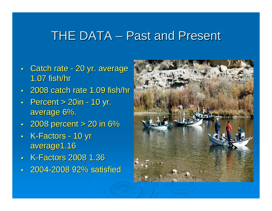#### THE DATA – Past and Present

- Catch rate 20 yr. average 1.07 fish/hr 1.07 fish/hr
- 2008 catch rate 1.09 fish/hr
- Percent  $> 20$ in 10 yr. average 6%.
- 2008 percent  $> 20$  in 6%
- K-Factors 10 yr average1.16
- K-Factors 2008 1.36
- 2004-2008 92% satisfied

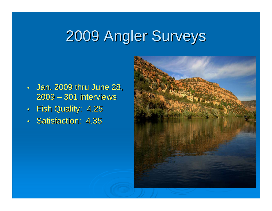## 2009 Angler Surveys 2009 Angler Surveys

- Jan. 2009 thru June 28, 2009 – – 301 interviews 301 interviews
- Fish Quality: 4.25
- Satisfaction: 4.35

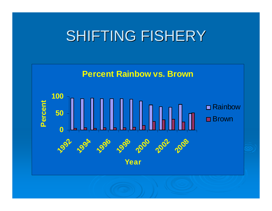## SHIFTING FISHERY

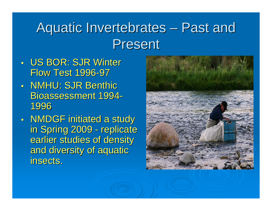#### Aquatic Invertebrates – Past and **Present**

- US BOR: SJR Winter Flow Test 1996-97
- NMHU: SJR Benthic Bioassessment 1994-1996
- $\bullet$  .  $\bullet$  NMDGF initiated a study  $\blacksquare$ in Spring 2009 - replicate earlier studies of density and diversity of aquatic insects. insects.

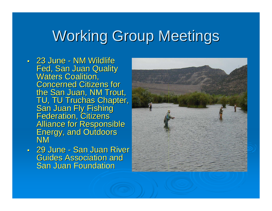## Working Group Meetings

- 23 June NM Wildlife Fed, San Juan Quality<br>Waters Coalition, **Concerned Citizens for** the San Juan, NM Trout,<br>TU, TU Truchas Chapter, **San Juan Fly Fishing<br>Federation, Citizens<br>Alliance for Responsible** Energy, and Outdoors<br>NM
- 29 June San Juan River Guides Association and Guides Association and **San Juan Foundation**